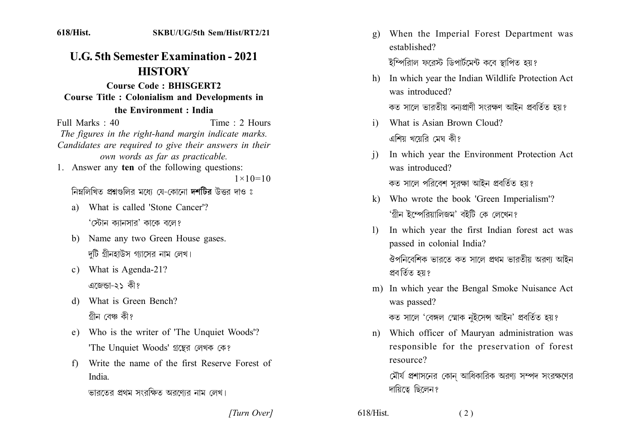$618/H$ ist.

## **U.G. 5th Semester Examination - 2021 HISTORY**

**Course Code: BHISGERT2 Course Title: Colonialism and Developments in** the Environment: India

Full Marks  $\cdot$  40 Time  $: 2$  Hours The figures in the right-hand margin indicate marks. Candidates are required to give their answers in their own words as far as practicable.

1. Answer any ten of the following questions:

 $1 \times 10 = 10$ 

নিম্নলিখিত প্রশ্নগুলির মধ্যে যে-কোনো দশটির উত্তর দাও ঃ

- a) What is called 'Stone Cancer'? 'স্টোন কাানসার' কাকে বলে?
- b) Name any two Green House gases. দটি গ্রীনহাউস গ্যাসের নাম লেখ।
- c) What is Agenda-21? এজেন্ডা-২১ কী?
- d) What is Green Bench? গীন বেঞ্চ কী?
- e) Who is the writer of 'The Unquiet Woods'? 'The Unquiet Woods' গ্রন্থের লেখক কে?
- f) Write the name of the first Reserve Forest of India

ভারতের প্রথম সংরক্ষিত অরণ্যের নাম লেখ।

- g) When the Imperial Forest Department was established? ইম্পিরািল ফরেস্ট ডিপার্টমেন্ট করে স্থাপিত হয়?
- h) In which year the Indian Wildlife Protection Act was introduced?
	- কত সালে ভারতীয় বনাপ্রাণী সংরক্ষণ আইন প্রবর্তিত হয়?
- i) What is Asian Brown Cloud? এশিয় খয়েরি মেঘ কী?
- In which year the Environment Protection Act  $\mathbf{i}$ was introduced?

কত সালে পরিবেশ সরক্ষা আইন প্রবর্তিত হয়?

- k) Who wrote the book 'Green Imperialism'? 'গ্ৰীন ইম্পেরিয়ালিজম' বইটি কে লেখেন?
- In which year the first Indian forest act was  $\mathbf{D}$ passed in colonial India? ঔপনিবেশিক ভারতে কত সালে প্রথম ভারতীয় অরণ্য আইন প্ৰবৰ্তিত হয়?
- m) In which year the Bengal Smoke Nuisance Act was passed?

কত সালে 'বেঙ্গল স্মোক নইসেন্স আইন' প্ৰবৰ্তিত হয়?

n) Which officer of Mauryan administration was responsible for the preservation of forest resource?

 $(2)$ 

মৌর্য প্রশাসনের কোন আধিকারিক অরণ্য সম্পদ সংরক্ষণের দায়িত্বে ছিলেন?

[Turn Over]

 $618/H$ ist.